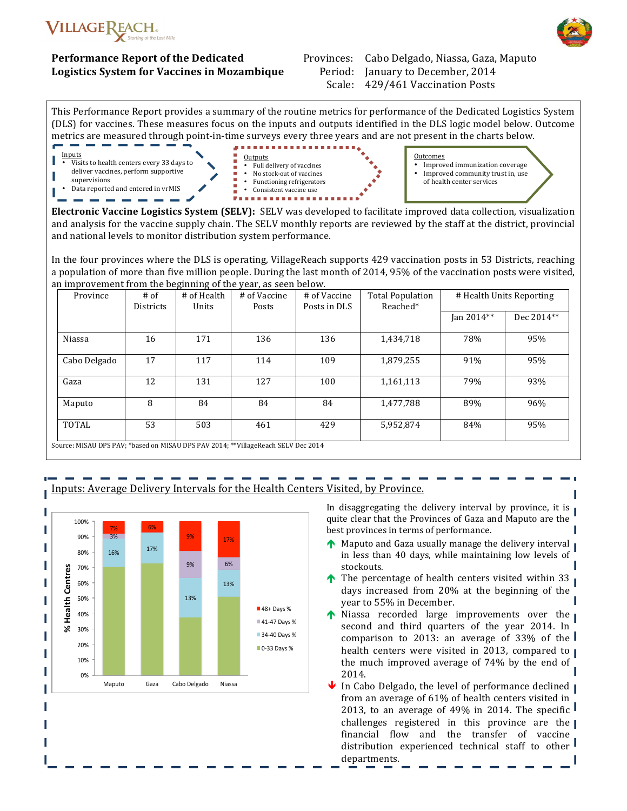

**Performance Report of the Dedicated Logistics System for Vaccines in Mozambique** Provinces: Cabo Delgado, Niassa, Gaza, Maputo Period: January to December, 2014 Scale: 429/461 Vaccination Posts

This Performance Report provides a summary of the routine metrics for performance of the Dedicated Logistics System (DLS) for vaccines. These measures focus on the inputs and outputs identified in the DLS logic model below. Outcome metrics are measured through point-in-time surveys every three years and are not present in the charts below.



**Electronic Vaccine Logistics System (SELV):** SELV was developed to facilitate improved data collection, visualization and analysis for the vaccine supply chain. The SELV monthly reports are reviewed by the staff at the district, provincial and national levels to monitor distribution system performance.

In the four provinces where the DLS is operating, VillageReach supports 429 vaccination posts in 53 Districts, reaching a population of more than five million people. During the last month of 2014, 95% of the vaccination posts were visited, an improvement from the beginning of the year, as seen below.

| Province                                                                          | $#$ of<br><b>Districts</b> | # of Health<br>Units | # of Vaccine<br>Posts | # of Vaccine<br>Posts in DLS | <b>Total Population</b><br>Reached* | # Health Units Reporting |            |
|-----------------------------------------------------------------------------------|----------------------------|----------------------|-----------------------|------------------------------|-------------------------------------|--------------------------|------------|
|                                                                                   |                            |                      |                       |                              |                                     | Jan 2014**               | Dec 2014** |
| Niassa                                                                            | 16                         | 171                  | 136                   | 136                          | 1,434,718                           | 78%                      | 95%        |
| Cabo Delgado                                                                      | 17                         | 117                  | 114                   | 109                          | 1,879,255                           | 91%                      | 95%        |
| Gaza                                                                              | 12                         | 131                  | 127                   | 100                          | 1,161,113                           | 79%                      | 93%        |
| Maputo                                                                            | 8                          | 84                   | 84                    | 84                           | 1,477,788                           | 89%                      | 96%        |
| TOTAL                                                                             | 53                         | 503                  | 461                   | 429                          | 5,952,874                           | 84%                      | 95%        |
| Source: MISAU DPS PAV; *based on MISAU DPS PAV 2014; **VillageReach SELV Dec 2014 |                            |                      |                       |                              |                                     |                          |            |



### nputs: Average Delivery Intervals for the Health Centers Visited, by Province.

In disaggregating the delivery interval by province, it is quite clear that the Provinces of Gaza and Maputo are the best provinces in terms of performance.

- Maputo and Gaza usually manage the delivery interval in less than 40 days, while maintaining low levels of stockouts.
- $\uparrow$  The percentage of health centers visited within 33 days increased from 20% at the beginning of the year to 55% in December.
- Niassa recorded large improvements over the second and third quarters of the year 2014. In comparison to 2013: an average of 33% of the health centers were visited in 2013, compared to the much improved average of  $74\%$  by the end of 2014.
- In Cabo Delgado, the level of performance declined  $\blacksquare$ from an average of 61% of health centers visited in 2013, to an average of 49% in 2014. The specific  $\blacksquare$ challenges registered in this province are the financial flow and the transfer of vaccine distribution experienced technical staff to other departments.

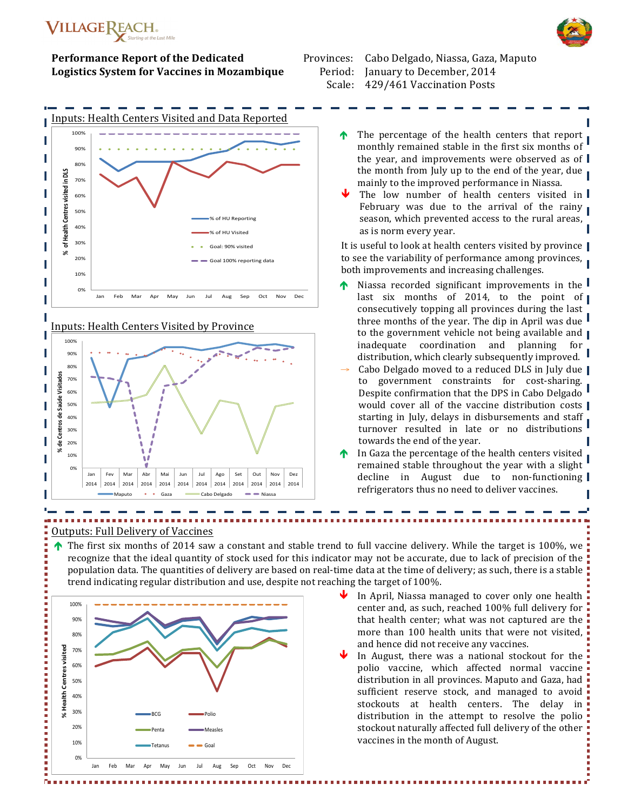

### **Performance Report of the Dedicated Logistics System for Vaccines in Mozambique**



Inputs: Health Centers Visited by Province



Provinces: Cabo Delgado, Niassa, Gaza, Maputo Period: January to December, 2014 Scale: 429/461 Vaccination Posts

- $\uparrow$  The percentage of the health centers that report monthly remained stable in the first six months of the year, and improvements were observed as of the month from July up to the end of the year, due mainly to the improved performance in Niassa.
- The low number of health centers visited in February was due to the arrival of the rainy season, which prevented access to the rural areas, as is norm every year.

It is useful to look at health centers visited by province to see the variability of performance among provinces, both improvements and increasing challenges.

- Niassa recorded significant improvements in the  $\mathsf I$ last six months of 2014, to the point of consecutively topping all provinces during the last three months of the year. The dip in April was due to the government vehicle not being available and  $\blacksquare$ inadequate coordination and planning for distribution, which clearly subsequently improved.
- Cabo Delgado moved to a reduced DLS in July due to government constraints for cost-sharing. Despite confirmation that the DPS in Cabo Delgado would cover all of the vaccine distribution costs starting in July, delays in disbursements and staff turnover resulted in late or no distributions towards the end of the year.
- In Gaza the percentage of the health centers visited remained stable throughout the year with a slight decline in August due to non-functioning refrigerators thus no need to deliver vaccines.

### Outputs: Full Delivery of Vaccines

 $\uparrow$  The first six months of 2014 saw a constant and stable trend to full vaccine delivery. While the target is 100%, we recognize that the ideal quantity of stock used for this indicator may not be accurate, due to lack of precision of the population data. The quantities of delivery are based on real-time data at the time of delivery; as such, there is a stable  $\blacksquare$ trend indicating regular distribution and use, despite not reaching the target of 100%.



- In April, Niassa managed to cover only one health center and, as such, reached 100% full delivery for that health center; what was not captured are the more than 100 health units that were not visited, and hence did not receive any vaccines.
- In August, there was a national stockout for the polio vaccine, which affected normal vaccine distribution in all provinces. Maputo and Gaza, had sufficient reserve stock, and managed to avoid stockouts at health centers. The delay in distribution in the attempt to resolve the polio stockout naturally affected full delivery of the other vaccines in the month of August.

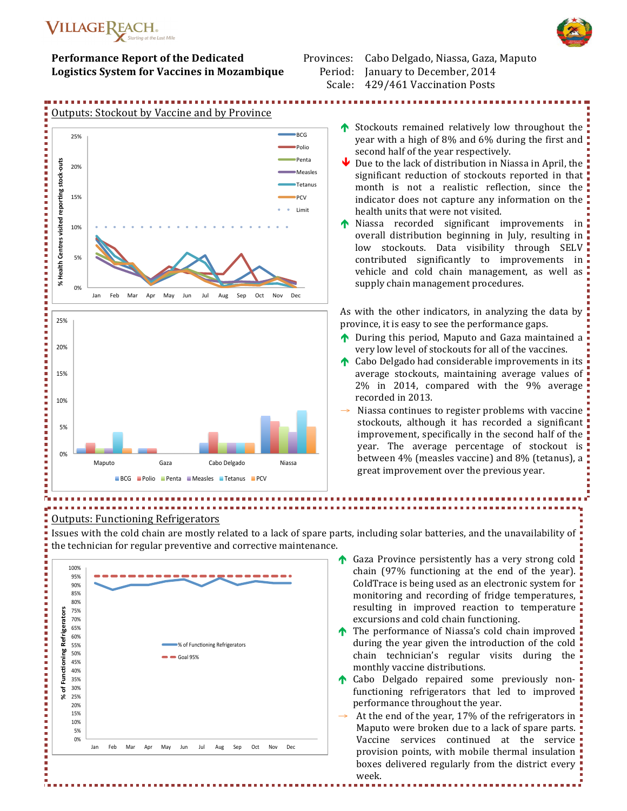

### **Performance Report of the Dedicated Logistics System for Vaccines in Mozambique**

Provinces: Cabo Delgado, Niassa, Gaza, Maputo Period: January to December, 2014 Scale: 429/461 Vaccination Posts

# Outputs: Stockout by Vaccine and by Province 25%#



- Stockouts remained relatively low throughout the ! year with a high of  $8\%$  and  $6\%$  during the first and second half of the year respectively.
- Due to the lack of distribution in Niassa in April, the  $\overline{\phantom{a}}$ significant reduction of stockouts reported in that  $\overline{\phantom{a}}$ month is not a realistic reflection, since the indicator does not capture any information on the health units that were not visited.
- Niassa recorded significant improvements in overall distribution beginning in July, resulting in  $\overline{\phantom{a}}$ low stockouts. Data visibility through SELV contributed significantly to improvements in vehicle and cold chain management, as well as supply chain management procedures.

As with the other indicators, in analyzing the data by province, it is easy to see the performance gaps.

- $\uparrow$  During this period, Maputo and Gaza maintained a very low level of stockouts for all of the vaccines.
- $\uparrow$  Cabo Delgado had considerable improvements in its average stockouts, maintaining average values of 2% in 2014, compared with the 9% average  $\blacksquare$ recorded in 2013.
- Niassa continues to register problems with vaccine ! stockouts, although it has recorded a significant : improvement, specifically in the second half of the  $\blacksquare$ year. The average percentage of stockout is between  $4\%$  (measles vaccine) and  $8\%$  (tetanus), a great improvement over the previous year.

# Outputs: Functioning Refrigerators

Issues with the cold chain are mostly related to a lack of spare parts, including solar batteries, and the unavailability of  $\frac{1}{2}$ the technician for regular preventive and corrective maintenance.



- $\uparrow$  Gaza Province persistently has a very strong cold chain (97% functioning at the end of the year). ColdTrace is being used as an electronic system for  $\overline{\phantom{a}}$ monitoring and recording of fridge temperatures, resulting in improved reaction to temperature excursions and cold chain functioning.
- $\uparrow$  The performance of Niassa's cold chain improved  $\bar{\downarrow}$ during the year given the introduction of the cold  $\overline{\phantom{a}}$ chain technician's regular visits during the monthly vaccine distributions.
- **t** Cabo Delgado repaired some previously nonfunctioning refrigerators that led to improved performance throughout the year.
- At the end of the year, 17% of the refrigerators in  $\overline{\phantom{a}}$ Maputo were broken due to a lack of spare parts. Vaccine services continued at the service! provision points, with mobile thermal insulation : boxes delivered regularly from the district every  $\blacksquare$ week.